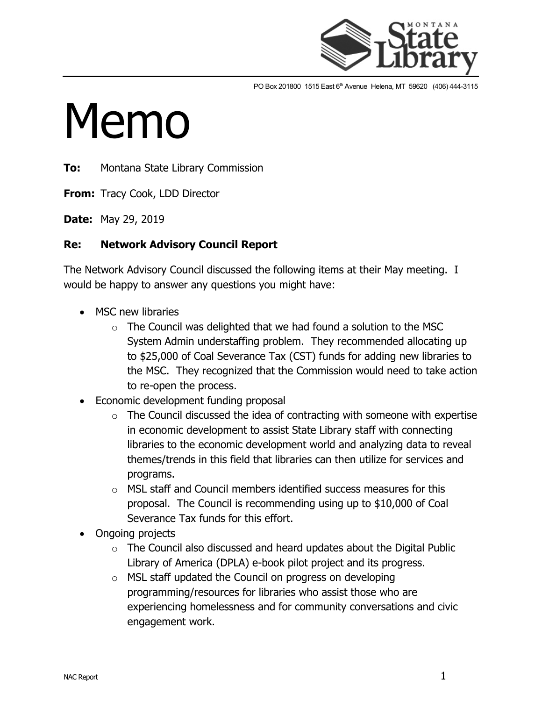

PO Box 201800 1515 East 6<sup>th</sup> Avenue Helena, MT 59620 (406) 444-3115

## Memo

**To:** Montana State Library Commission

**From:** Tracy Cook, LDD Director

**Date:** May 29, 2019

## **Re: Network Advisory Council Report**

The Network Advisory Council discussed the following items at their May meeting. I would be happy to answer any questions you might have:

- MSC new libraries
	- $\circ$  The Council was delighted that we had found a solution to the MSC System Admin understaffing problem. They recommended allocating up to \$25,000 of Coal Severance Tax (CST) funds for adding new libraries to the MSC. They recognized that the Commission would need to take action to re-open the process.
- Economic development funding proposal
	- $\circ$  The Council discussed the idea of contracting with someone with expertise in economic development to assist State Library staff with connecting libraries to the economic development world and analyzing data to reveal themes/trends in this field that libraries can then utilize for services and programs.
	- $\circ$  MSL staff and Council members identified success measures for this proposal. The Council is recommending using up to \$10,000 of Coal Severance Tax funds for this effort.
- Ongoing projects
	- $\circ$  The Council also discussed and heard updates about the Digital Public Library of America (DPLA) e-book pilot project and its progress.
	- $\circ$  MSL staff updated the Council on progress on developing programming/resources for libraries who assist those who are experiencing homelessness and for community conversations and civic engagement work.